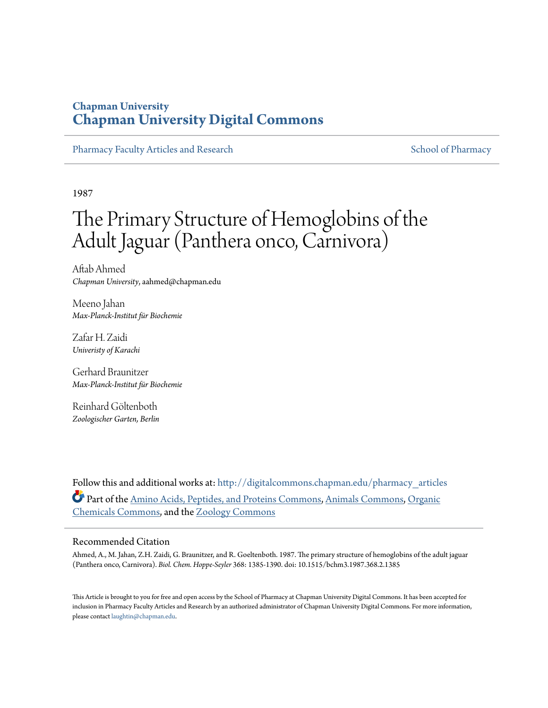## **Chapman University [Chapman University Digital Commons](http://digitalcommons.chapman.edu?utm_source=digitalcommons.chapman.edu%2Fpharmacy_articles%2F234&utm_medium=PDF&utm_campaign=PDFCoverPages)**

[Pharmacy Faculty Articles and Research](http://digitalcommons.chapman.edu/pharmacy_articles?utm_source=digitalcommons.chapman.edu%2Fpharmacy_articles%2F234&utm_medium=PDF&utm_campaign=PDFCoverPages) [School of Pharmacy](http://digitalcommons.chapman.edu/cusp?utm_source=digitalcommons.chapman.edu%2Fpharmacy_articles%2F234&utm_medium=PDF&utm_campaign=PDFCoverPages)

1987

# The Primary Structure of Hemoglobins of the Adult Jaguar (Panthera onco, Carnivora)

Aftab Ahmed *Chapman University*, aahmed@chapman.edu

Meeno Jahan *Max-Planck-Institut für Biochemie*

Zafar H. Zaidi *Univeristy of Karachi*

Gerhard Braunitzer *Max-Planck-Institut für Biochemie*

Reinhard Göltenboth *Zoologischer Garten, Berlin*

Follow this and additional works at: [http://digitalcommons.chapman.edu/pharmacy\\_articles](http://digitalcommons.chapman.edu/pharmacy_articles?utm_source=digitalcommons.chapman.edu%2Fpharmacy_articles%2F234&utm_medium=PDF&utm_campaign=PDFCoverPages) Part of the [Amino Acids, Peptides, and Proteins Commons](http://network.bepress.com/hgg/discipline/954?utm_source=digitalcommons.chapman.edu%2Fpharmacy_articles%2F234&utm_medium=PDF&utm_campaign=PDFCoverPages), [Animals Commons](http://network.bepress.com/hgg/discipline/1006?utm_source=digitalcommons.chapman.edu%2Fpharmacy_articles%2F234&utm_medium=PDF&utm_campaign=PDFCoverPages), [Organic](http://network.bepress.com/hgg/discipline/955?utm_source=digitalcommons.chapman.edu%2Fpharmacy_articles%2F234&utm_medium=PDF&utm_campaign=PDFCoverPages) [Chemicals Commons,](http://network.bepress.com/hgg/discipline/955?utm_source=digitalcommons.chapman.edu%2Fpharmacy_articles%2F234&utm_medium=PDF&utm_campaign=PDFCoverPages) and the [Zoology Commons](http://network.bepress.com/hgg/discipline/81?utm_source=digitalcommons.chapman.edu%2Fpharmacy_articles%2F234&utm_medium=PDF&utm_campaign=PDFCoverPages)

### Recommended Citation

Ahmed, A., M. Jahan, Z.H. Zaidi, G. Braunitzer, and R. Goeltenboth. 1987. The primary structure of hemoglobins of the adult jaguar (Panthera onco, Carnivora). *Biol. Chem. Hoppe-Seyler* 368: 1385-1390. doi: 10.1515/bchm3.1987.368.2.1385

This Article is brought to you for free and open access by the School of Pharmacy at Chapman University Digital Commons. It has been accepted for inclusion in Pharmacy Faculty Articles and Research by an authorized administrator of Chapman University Digital Commons. For more information, please contact [laughtin@chapman.edu.](mailto:laughtin@chapman.edu)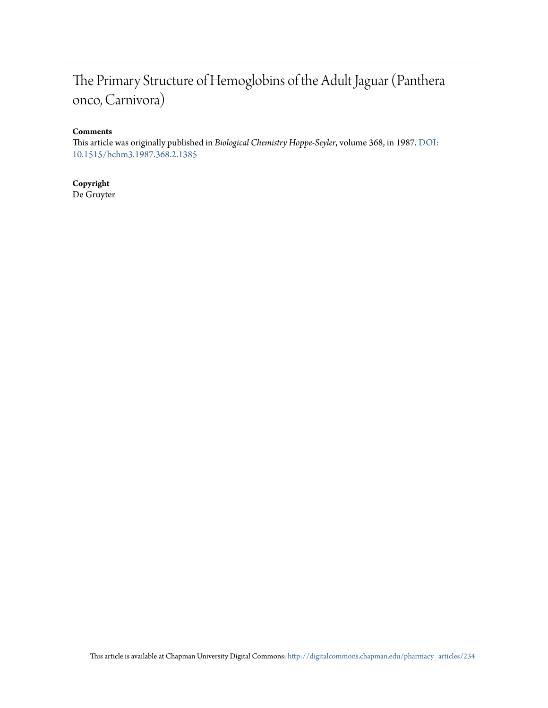## The Primary Structure of Hemoglobins of the Adult Jaguar (Panthera onco, Carnivora)

## **Comments**

This article was originally published in *Biological Chemistry Hoppe-Seyler*, volume 368, in 1987. [DOI:](http://dx.doi.org/10.1515/bchm3.1987.368.2.1385) [10.1515/bchm3.1987.368.2.1385](http://dx.doi.org/10.1515/bchm3.1987.368.2.1385)

## **Copyright**

De Gruyter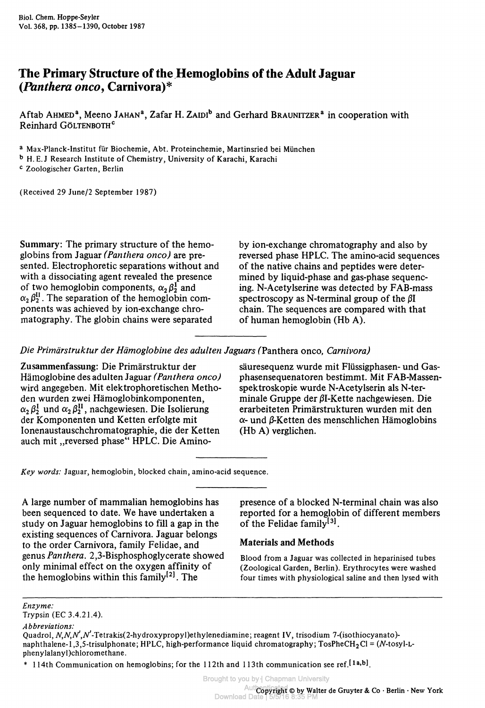## **The Primary Structure of the Hemoglobins of the Adult Jaguar** *(Panthera onco,* **Carnivora)\***

Aftab Анмер<sup>а</sup>, Meeno Jанам<sup>а</sup>, Zafar H. Zаipi<sup>b</sup> and Gerhard Brаunitzer<sup>a</sup> in cooperation with Reinhard GÖLTENBOTH<sup>c</sup>

a Max-Planck-Institut für Biochemie, Abt. Proteinchemie, Martinsried bei München

b H. E. J Research Institute of Chemistry, University of Karachi, Karachi

c Zoologischer Garten, Berlin

(Received 29 June/2 September 1987)

Summary: The primary structure of the hemoglobins from Jaguar *(Panthera onco)* are presented. Electrophoretic separations without and with a dissociating agent revealed the presence of two hemoglobin components,  $\alpha_2 \beta_2^{\Gamma}$  and  $\alpha_2 \beta_2^{11}$ . The separation of the hemoglobin components was achieved by ion-exchange chromatography. The globin chains were separated

by ion-exchange chromatography and also by reversed phase HPLC. The amino-acid sequences of the native chains and peptides were determined by liquid-phase and gas-phase sequencing. N-Acetylserine was detected by FAB-mass spectroscopy as N-terminal group of the *ßl* chain. The sequences are compared with that of human hemoglobin (Hb A).

*Die Primärstruktur der Hämoglobine des adulten Jaguars* (Panthera onco, *Carnivora)*

Zusammenfassung: Die Primärstruktur der Hämoglobine des adulten Jaguar *(Panthera onco)* wird angegeben. Mit elektrophoretischen Methoden wurden zwei Hämoglobinkomponenten,  $\alpha_2 \beta_2^I$  und  $\alpha_2 \beta_2^{II}$ , nachgewiesen. Die Isolierung der Komponenten und Ketten erfolgte mit lonenaustauschchromatographie, die der Ketten auch mit "reversed phase" HPLC. Die Aminosäuresequenz wurde mit Flüssigphasen- und Gasphasensequenatoren bestimmt. Mit FAB-Massenspektroskopie wurde N-Acetylserin als N-ter $m$ inale Gruppe der  $\beta$ I-Kette nachgewiesen. Die erarbeiteten Primärstrukturen wurden mit den *a-* und ß-Ketten des menschlichen Hämoglobins (Hb A) verglichen.

*Key words:* Jaguar, hemoglobin, blocked chain, amino-acid sequence.

A large number of mammalian hemoglobins has been sequenced to date. We have undertaken a study on Jaguar hemoglobins to fill a gap in the existing sequences of Carnivora. Jaguar belongs to the order Carnivora, family Felidae, and genus *Panthera.* 2,3-Bisphosphoglycerate showed only minimal effect on the oxygen affinity of the hemoglobins within this family<sup>[2]</sup>. The

presence of a blocked N-terminal chain was also reported for a hemoglobin of different members of the Felidae family<sup>[3]</sup>.

## **Materials and Methods**

Blood from a Jaguar was collected in heparinised tubes (Zoological Garden, Berlin). Erythrocytes were washed four times with physiological saline and then lysed with

*Enzyme:*

Trypsin (EC 3.4.21.4).

*Abbreviations:*

Quadrol,  $N$ , $N$ , $N^{\prime}$ .Tetrakis(2-hydroxypropyl)ethylenediamine; reagent IV, trisodium 7-(isothiocyanato)naphthalene-1,3,5-trisulphonate; HPLC, high-performance liquid chromatography;  $T$ osPheCH<sub>2</sub>Cl = (N-tosyl-Lphenylalanyl)chloromethane.

<sup>\* 114</sup>th Communication on hemoglobins; for the 112th and 113th communication see ref.<sup>[1a,b]</sup>.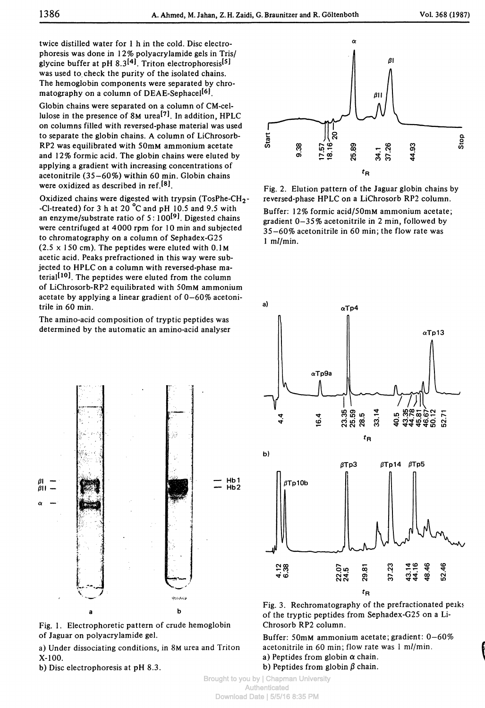twice distilled water for 1 h in the cold. Disc electrophoresis was done in 12% polyacrylamide gels in Tris/ glycine buffer at pH 8.3<sup>[4]</sup>. Triton electrophoresis<sup>[5]</sup> was used to check the purity of the isolated chains. The hemoglobin components were separated by chromatography on a column of DEAE-Sephacel<sup>[6]</sup>.

Globin chains were separated on a column of CM-cellulose in the presence of 8M urea<sup>[7]</sup>. In addition, HPLC on columns filled with reversed-phase material was used to separate the globin chains. A column of LiChrosorb-RP2 was equilibrated with 50mM ammonium acetate and 12% formic acid. The globin chains were eluted by applying a gradient with increasing concentrations of acetonitrile (35—60%) within 60 min. Globin chains were oxidized as described in ref.<sup>[8]</sup>.

Oxidized chains were digested with trypsin (TosPhe-CH2- -Cl-treated) for 3 h at 20 °C and pH 10.5 and 9.5 with an enzyme/substrate ratio of 5:100<sup>[9]</sup>. Digested chains were centrifuged at 4000 rpm for 10 min and subjected to chromatography on a column of Sephadex-G25  $(2.5 \times 150 \text{ cm})$ . The peptides were eluted with 0.1M acetic acid. Peaks prefractioned in this way were subjected to HPLC on a column with reversed-phase material <sup>10</sup>J. The peptides were eluted from the column of LiChrosorb-RP2 equilibrated with 50mM ammonium acetate by applying a linear gradient of 0—60% acetonitrile in 60 min.

The amino-acid composition of tryptic peptides was determined by the automatic an amino-acid analyser





a) Under dissociating conditions, in 8M urea and Triton X-100.

b) Disc electrophoresis at pH 8.3.



Fig. 2. Elution pattern of the Jaguar globin chains by reversed-phase HPLC on a LiChrosorb RP2 column. Buffer: 12% formic acid/50mM ammonium acetate; gradient 0-35% acetonitrile in 2 min, followed by 35-60% acetonitrile in 60 min; the flow rate was 1 m//min.



Fig. 3. Rechromatography of the prefractionated peaks of the tryptic peptides from Sephadex-G25 on a Li-Chrosorb RP2 column.

Buffer: 50mM ammonium acetate; gradient: 0-60% acetonitrile in 60 min; flow rate was 1 m//min. a) Peptides from globin  $\alpha$  chain. b) Peptides from globin  $\beta$  chain.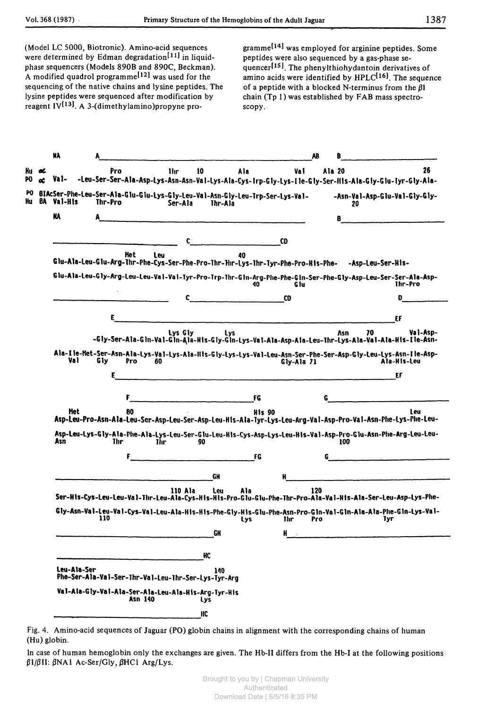(Model LC 5000, Biotronic). Amino-acid sequences were determined by Edman degradation<sup>[11]</sup> in liquidphase sequencers (Models 890B and 890C, Beckman). A modified quadrol programme<sup>[12]</sup> was used for the sequencing of the native chains and lysine peptides. The lysine peptides were sequenced after modification by reagent  $IV^{[13]}$ . A 3-(dimethylamino)propyne programmel<sup>14</sup>! was employed for arginine peptides. Some peptides were also sequenced by a gas-phase sequencer<sup>[15]</sup>. The phenylthiohydantoin derivatives of amino acids were identified by  $HPLC^{[16]}$ . The sequence of a peptide with a blocked N-terminus from the *ßl* chain (Tp 1) was established by FAB mass spectroscopy.

| NA             |             |         |                |              |                                                            |                                                                                                     |               |                                                                                                    | AB  | B      |            |                                                                                                                              |
|----------------|-------------|---------|----------------|--------------|------------------------------------------------------------|-----------------------------------------------------------------------------------------------------|---------------|----------------------------------------------------------------------------------------------------|-----|--------|------------|------------------------------------------------------------------------------------------------------------------------------|
| ĸ<br>Val-<br>œ |             | Pro     |                | <b>I</b> lır | 10                                                         | Ala                                                                                                 |               | Val                                                                                                |     | Ala 20 |            | 26<br>-Leu-Ser-Ser-Ala-Asp-Lys-Asn-Asn-Val-Lys-Ala-Cys-Irp-Gly-Lys-Ile-Gly-Ser-HIs-Ala-Gly-Glu-Tyr-Gly-Ala-                  |
| BA<br>Val-His  |             | Thr-Pro |                | Ser-Ala      |                                                            | Thr-Ala                                                                                             |               | BIAcSer-Phe-Leu-Ser-Ala-Glu-Glu-Lys-Gly-Leu-Val-Asn-Gly-Leu-Trp-Ser-Lys-Val-                       |     | 20     |            | -Asn-Val-Asp-Glu-Val-Gly-Gly-                                                                                                |
| <b>NA</b>      |             |         |                |              |                                                            | $\mathcal{L}$ and $\mathcal{L}$ are the contract of the contract of $\mathcal{L}$ and $\mathcal{L}$ |               |                                                                                                    |     | 8      |            |                                                                                                                              |
|                |             |         |                |              | c.                                                         |                                                                                                     |               | <b>CD</b>                                                                                          |     |        |            |                                                                                                                              |
|                |             |         | Het            | Leu          |                                                            | 40                                                                                                  |               | Glu-Ala-Leu-Glu-Arg-Thr-Phe-Cys-Ser-Phe-Pro-Thr-Fhr-Lys-Thr-Tyr-Phe-Pro-His-Phe- -Asp-Leu-Ser-His- |     |        |            |                                                                                                                              |
|                |             |         |                |              |                                                            |                                                                                                     | $40-$         | G Iu                                                                                               |     |        |            | Glu-Ala-Leu-Gly-Arg-Leu-Leu-Val-Val-Tyr-Pro-Trp-Thr-Gln-Arg-Phe-Phe-Gln-Ser-Phe-Gly-Asp-Leu-Ser-Ser-Ala-Asp-<br>Thr-Pro      |
|                |             |         |                |              | C                                                          | <u> 1989 - Johann John Stone, mars e</u>                                                            |               | CD                                                                                                 |     |        |            | D                                                                                                                            |
|                |             | E.      |                |              |                                                            |                                                                                                     |               |                                                                                                    |     |        |            | EF                                                                                                                           |
|                |             |         |                | Lys Gly      |                                                            | Lys                                                                                                 |               |                                                                                                    |     | Asn    | 70         | Val-Asp-                                                                                                                     |
|                |             |         |                |              |                                                            |                                                                                                     |               |                                                                                                    |     |        |            | -Gly-Ser-Ala-Gln-Val-Gln-Ala-His-Gly-Gln-Lys-Val-Ala-Asp-Ala-Leu-Thr-Lys-Ala-Val-Ala-His-Ile-Asn-                            |
|                | Val         | Gly     | <b>Pro</b>     | 60           |                                                            |                                                                                                     |               | Gly-Ala 71                                                                                         |     |        |            | Ala-Ile-Het-Ser-Asn-Ala-Lys-Val-Lys-Ala-IIIs-Gly-Lys-Lys-Val-Leu-Asn-Ser-Phe-Ser-Asp-Gly-Leu-Lys-Asn-Ile-Asp-<br>Ala-His-Leu |
|                |             | ε       |                |              |                                                            |                                                                                                     |               | <u> 1980 - Jan Barnett, mars ann an t-Amhain an t-</u>                                             |     |        |            | EF                                                                                                                           |
|                |             |         |                |              |                                                            |                                                                                                     |               |                                                                                                    |     |        |            |                                                                                                                              |
|                |             |         | F              |              |                                                            | <b>EXECUTIVE STATE</b>                                                                              |               |                                                                                                    | G   |        |            |                                                                                                                              |
|                | Het.        |         | 80             |              |                                                            |                                                                                                     | <b>His 90</b> |                                                                                                    |     |        |            | <b>Leu</b><br>Asp-Leu-Pro-Asn-Ala-Leu-Ser-Asp-Leu-Ser-Asp-Leu-Kis-Ala-Tyr-Lys-Leu-Arg-Val-Asp-Pro-Val-Asn-Phe-Lys-Phe-Leu-   |
| Asn            |             | Thr     |                | Thr.         | 90                                                         |                                                                                                     |               |                                                                                                    |     | 100    |            | Asp-Leu-Lys-Gly-Ala-Phe-Ala-Lys-Leu-Ser-Glu-Leu-Kis-Cys-Asp-Lys-Leu-His-Val-Asp-Pro-Glu-Asn-Phe-Arg-Leu-Leu-                 |
|                |             |         | F              |              |                                                            |                                                                                                     | <b>FG</b>     |                                                                                                    | G   |        |            | <u> 1980 - John Stein, Amerikaansk kanton (</u>                                                                              |
|                |             |         |                |              |                                                            | GH                                                                                                  |               | Ħ                                                                                                  |     |        |            |                                                                                                                              |
|                |             |         |                | 110 Ala      |                                                            | Ala<br>Leu                                                                                          |               |                                                                                                    | 120 |        |            |                                                                                                                              |
|                |             |         |                |              |                                                            |                                                                                                     |               |                                                                                                    |     |        |            | Ser-His-Cys-Leu-Leu-Val-Thr-Leu-Ala-Cys-His-His-Pro-Glu-Glu-Phe-Thr-Pro-Ala-Val-His-Ala-Ser-Leu-Asp-Lys-Phe-                 |
|                |             | 110     |                |              |                                                            | Lys                                                                                                 |               | Thr:                                                                                               | Pro |        | <b>Tyr</b> | Gly-Asn-Val-Leu-Val-Cys-Val-Leu-Ala-His-His-Phe-Gly-His-Glu-Phe-Asn-Pro-Gln-Val-Gln-Ala-Ala-Phe-Gln-Lys-Val-                 |
|                |             |         |                |              |                                                            | GH                                                                                                  |               |                                                                                                    |     |        |            |                                                                                                                              |
|                |             |         |                |              |                                                            |                                                                                                     |               |                                                                                                    |     |        |            |                                                                                                                              |
|                |             |         |                |              |                                                            |                                                                                                     |               |                                                                                                    |     |        |            |                                                                                                                              |
|                | Leu-Ala-Ser |         |                |              | HC<br>Phe-Ser-Ala-Val-Ser-Thr-Val-Leu-Thr-Ser-Lys-Tyr-Arg  | 140                                                                                                 |               |                                                                                                    |     |        |            |                                                                                                                              |
|                |             |         | <b>Asn 140</b> |              | Val-Ala-Gly-Val-Ala-Ser-Ala-Leu-Ala-His-Arg-Tyr-His<br>Lys |                                                                                                     |               |                                                                                                    |     |        |            |                                                                                                                              |

Fig. 4. Amino-acid sequences of Jaguar (PO) globin chains in alignment with the corresponding chains of human (Hu) globin.

In case of human hemoglobin only the exchanges are given. The Hb-II differs from the Hb-I at the following positions  $\beta$ I/ $\beta$ II:  $\beta$ NA1 Ac-Ser/Gly,  $\beta$ HCl Arg/Lys.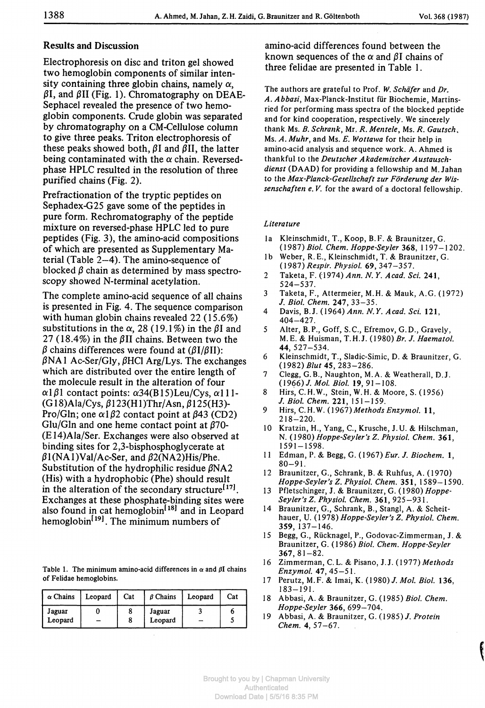## Results and Discussion

Electrophoresis on disc and triton gel showed two hemoglobin components of similar intensity containing three globin chains, namely  $\alpha$ .  $\beta$ I, and  $\beta$ II (Fig. 1). Chromatography on DEAE-Sephacel revealed the presence of two hemoglobin components. Crude globin was separated by chromatography on a CM-Cellulose column to give three peaks. Triton electrophoresis of these peaks showed both,  $\beta I$  and  $\beta II$ , the latter being contaminated with the  $\alpha$  chain. Reversedphase HPLC resulted in the resolution of three purified chains (Fig. 2).

Prefractionation of the tryptic peptides on Sephadex-G25 gave some of the peptides in pure form. Rechromatography of the peptide mixture on reversed-phase HPLC led to pure peptides (Fig. 3), the amino-acid compositions of which are presented as Supplementary Material (Table 2-4). The amino-sequence of blocked  $\beta$  chain as determined by mass spectroscopy showed N-terminal acetylation.

The complete amino-acid sequence of all chains is presented in Fig. 4. The sequence comparison with human globin chains revealed 22 (15.6%) substitutions in the  $\alpha$ , 28 (19.1%) in the  $\beta$ I and 27 (18.4%) in the  $\beta$ II chains. Between two the  $\beta$  chains differences were found at ( $\beta I/\beta II$ ):  $\beta$ NA1 Ac-Ser/Gly,  $\beta$ HCl Arg/Lys. The exchanges which are distributed over the entire length of the molecule result in the alteration of four  $\alpha$ 1 $\beta$ 1 contact points:  $\alpha$ 34(B15)Leu/Cys,  $\alpha$ 111- $(G18)$ Ala/Cys,  $\beta$ 123(H1)Thr/Asn,  $\beta$ 125(H3)-Pro/Gln; one  $\alpha$ 1 $\beta$ 2 contact point at  $\beta$ 43 (CD2) Glu/Gln and one heme contact point at  $\beta$ 70-(E14)Ala/Ser. Exchanges were also observed at binding sites for 2,3-bisphosphoglycerate at  $\beta$ 1(NA1)Val/Ac-Ser, and  $\beta$ 2(NA2)His/Phe. Substitution of the hydrophilic residue  $\beta$ NA2 (His) with a hydrophobic (Phe) should result in the alteration of the secondary structure<sup>[17]</sup>. Exchanges at these phosphate-binding sites were also found in cat hemoglobin<sup>[18]</sup> and in Leopard hemoglobin<sup>[19]</sup>. The minimum numbers of

Table 1. The minimum amino-acid differences in  $\alpha$  and  $\beta$ I chains of Felidae hemoglobins.

| $\alpha$ Chains   | Leopard | Cat | $\beta$ Chains    | Leopard | Cat |
|-------------------|---------|-----|-------------------|---------|-----|
| Jaguar<br>Leopard |         |     | Jaguar<br>Leopard |         |     |

amino-acid differences found between the known sequences of the  $\alpha$  and  $\beta$ I chains of three felidae are presented in Table 1.

The authors are grateful to Prof. W. Schäfer and Dr. A. Abbasi, Max-Planck-Institut für Biochemie, Martinsried for performing mass spectra of the blocked peptide and for kind cooperation, respectively. We sincerely thank Ms. *B. Schrank,* Mr. *R. Mentele,* Ms. *R. Gautsch,* Ms. *A. Muhry* and Ms. *E. Wottawa* for their help in amino-acid analysis and sequence work. A. Ahmed is thankful to the *Deutscher Akademischer Austauschdienst* (DAAD) for providing a fellowship and M. Jahan to the Max-Planck-Gesellschaft zur Förderung der Wis*senschaften e. V.* for the award of a doctoral fellowship.

#### *Literature*

- la Kleinschmidt, T., Koop, B. F. & Braunitzer, G. (1987) *Biol. Chem. Hoppe-Seyler* 368, 1197-1202.
- Ib Weber, R. E., Kleinschmidt, T. & Braunitzer, G. *(1981) Respir. Physiol.* 69, 347-357.
- 2 Taketa, F. (1974) *Ann. N. Y. Acad. Sei.* 241, 524-537.
- 3 Taketa, F., Attermeier, M.H. & Mauk, A.C. (1972) /. *Biol. Chem.* 247, 33-35.
- 4 Davis, B.J. (1964) *Ann. N. Υ. Acad. Sei.* 121. 404-427.
- 5 Alter, B. P., Goff, S.C., Efremov, G. D., Gravely, M.E. & Huisman, T.H.J. (1980) *Br. J. Haematol.* 44, 527-534.
- 6 Kleinschmidt, T., Sladic-Simic, D. & Braunitzer, G. (1982) *Blut* 45, 283-286.
- 7 Clegg, G.B., Naughton, M. A. & Weatherall, D.J. (1966) /. *Mol. Biol.* 19,91-108.
- 8 Hirs, C.H.W., Stein, W. H. & Moore, S. (1956) /. *Biol. Chem.* 221, 151-159.
- 9 Hirs, C.H.W. (1967)*MethodsEnzymol.* 11, 218-220.
- 10 Kratzin, H., Yang, C, Krusche, J.U. & Hilschman, N. (1980) *Hoppe-Seyler''s Z. Physiol. Chem.* 361, 1591-1598.
- 11 Edman, P. & Begg, G. (1967) *Eur. J. Biochem.* l, 80-91.
- 12 Braunitzer, G., Schrank, B. & Ruhfus, A. (1970) *Hoppe-Seyler's Z. Physiol. Chem.* 351, 1589-1590.
- 13 Pfletschinger, J. & Braunitzer, G. (1980) *Hoppe-Seyler's Z. Physiol. Chem.* 361, 925-931.
- 14 Braunitzer, G., Schrank, B., Stangl, A. & Scheithauer, U. (1978) *Hoppe-Seyler's Z. Physiol. Chem.* 359, 137-146.
- 15 Begg, G., Rücknagel, P., Godovac-Zimmerman, J. & Braunitzer, G. (1986) *Biol. Chem. Hoppe-Seyler* 367,81-82.
- 16 Zimmerman, C. L. & Pisano, J. J. (1977) *Methods Enzymol.* 47,45-51.
- 17 Perutz, M. F. & Imai, K. (1980)/. *Mol. Biol.* 136, 183-191.
- 18 Abbasi, A. & Braunitzer, G. (1985) *Biol Chem. Hoppe-Seyler* 366, 699-704.
- 19 Abbasi, A. & Braunitzer, G. (1985)/. *Protein Chem.* 4, 57-67.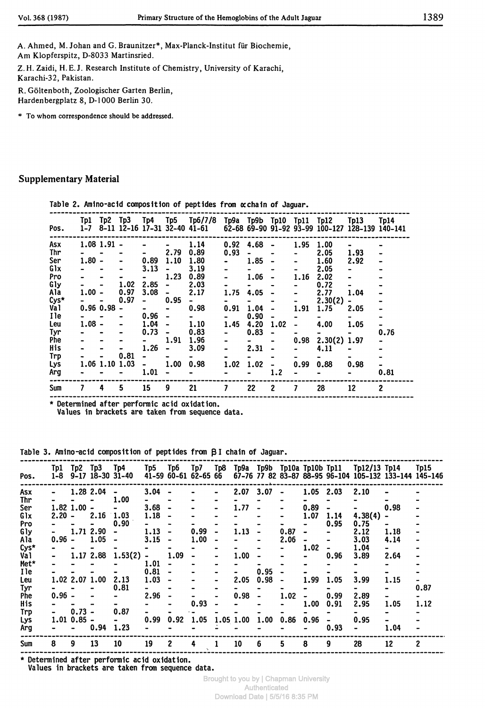A. Ahmed, M. Johan and G. Braunitzer\*, Max-Planck-Institut für Biochemie, Am Klopferspitz, D-8033 Martinsried.

Z.H. Zaidi, H.E.J. Research Institute of Chemistry, University of Karachi, Karachi-32, Pakistan.

R. Göltenboth, Zoologischer Garten Berlin, Hardenbergplatz 8, D-1000 Berlin 30.

\* To whom correspondence should be addressed.

#### **Supplementary Material**

Table 2. Amino-acid composition of peptides from xchain of Jaguar.

| Pos. | Tp1<br>$1 - 7$ | Tp2Tp3         |      | Tp4            |                              | Tp5 Tp6/7/8<br>8-11 12-16 17-31 32-40 41-61 |           |                                  |                          |      | Tp9a Tp9b Tp10 Tp11 Tp12 | T <sub>D13</sub><br>62-68 69-90 91-92 93-99 100-127 128-139 140-141 | Tp14 |
|------|----------------|----------------|------|----------------|------------------------------|---------------------------------------------|-----------|----------------------------------|--------------------------|------|--------------------------|---------------------------------------------------------------------|------|
| Asx  |                | $1.08$ 1.91 -  |      |                |                              | 1.14                                        | 0.92      | 4.68                             |                          | 1.95 | 1.00                     |                                                                     |      |
| Thr  |                |                |      | $\blacksquare$ | 2.79                         | 0.89                                        | 0.93      | $\qquad \qquad \blacksquare$     |                          |      | 2.05                     | 1.93                                                                |      |
| Ser  | $1.80 -$       |                |      | 0.89           | 1.10                         | 1.80                                        |           | 1.85                             | $\bullet$                |      | 1.60                     | 2.92                                                                |      |
| Glx  |                |                |      | 3.13           |                              | 3.19                                        |           |                                  |                          |      | 2.05                     |                                                                     |      |
| Pro  |                |                |      |                | 1.23                         | 0.89                                        |           | 1.06                             |                          | 1.16 | 2.02                     |                                                                     |      |
| Gly  |                |                | 1.02 | 2.85           | $\qquad \qquad \blacksquare$ | 2.03                                        |           |                                  |                          |      | 0.72                     |                                                                     |      |
| Ala  | $1.00 -$       |                | 0.97 | 3.08           | $\blacksquare$               | 2.17                                        | 1.75      | 4.05                             |                          |      | 2.77                     | 1.04                                                                |      |
| Cys* |                |                | 0.97 | $\blacksquare$ | 0.95                         | $\blacksquare$                              |           | $\rightarrow$                    |                          |      | 2.30(2)                  |                                                                     |      |
| Va 1 |                | 0.96 0.98      |      | - 1            | $\blacksquare$               | 0.98                                        | 0.91      | 1.04                             |                          | 1.91 | 1.75                     | 2.05                                                                |      |
| I le |                |                |      | 0.96           | $\qquad \qquad \blacksquare$ | $\sim$ 100 $\sim$                           |           | 0.90                             |                          |      |                          |                                                                     |      |
| Leu  | $1.08 -$       |                |      | 1.04           |                              | 1.10                                        | 1.45      | 4.20                             | 1.02                     |      | 4.00                     | 1.05                                                                |      |
| Tyr  |                |                |      | 0.73           |                              | 0.83                                        |           | 0.83                             |                          |      | $\rightarrow$            |                                                                     | 0.76 |
| Phe  |                |                |      |                | 1.91                         | 1.96                                        |           | $\bullet$ . The set of $\bullet$ |                          | 0.98 | $2.30(2)$ 1.97           |                                                                     |      |
| His  |                |                |      | 1.26           |                              | 3.09                                        | $\bullet$ | 2.31                             | $\overline{\phantom{a}}$ |      | 4.11                     |                                                                     |      |
| Trp  |                |                | 0.81 | $\blacksquare$ |                              |                                             |           |                                  |                          |      |                          |                                                                     |      |
| Lys  |                | 1.06 1.10 1.03 |      | $\blacksquare$ | 1.00                         | 0.98                                        | 1.02      | 1.02                             |                          | 0.99 | 0.88                     | 0.98                                                                |      |
| Arg  |                |                |      | 1.01           |                              |                                             |           |                                  | 1.2                      |      |                          |                                                                     | 0.81 |
| Sum  | 7              | 4              | 5    | 15             | 9                            | 21                                          | 7         | 22                               | $\mathbf{2}$             | 7    | 28                       | 12                                                                  | 2    |

\* Determined after performic acid oxidation.

Values in brackets are taken from sequence data.

Table 3. Amino-acid composition of peptides from BI chain of Jaguar.

|            | Tp1      | Tp2Tp3          |           | Tp4                          | Tp5                          | Tp6                          | Tp7                  | Tp8       |           |      |                |             |      | Tp9a Tp9b Tp10a Tp10b Tp11 Tp12/13 Tp14                |                  | Tp15 |
|------------|----------|-----------------|-----------|------------------------------|------------------------------|------------------------------|----------------------|-----------|-----------|------|----------------|-------------|------|--------------------------------------------------------|------------------|------|
| Pos.       | 1-8      |                 |           | $9-17$ 18-30 31-40           |                              |                              | 41-59 60-61 62-65 66 |           |           |      |                |             |      | 67-76 77 82 83-87 88-95 96-104 105-132 133-144 145-146 |                  |      |
| Asx        |          | 1.28 2.04       |           | $\qquad \qquad \blacksquare$ | 3.04                         |                              |                      | $\bullet$ | 2.07      | 3.07 | $\blacksquare$ | $1.05$ 2.03 |      | 2.10                                                   |                  |      |
| Thr        |          |                 |           | 1.00                         |                              | $\qquad \qquad \blacksquare$ |                      |           |           |      |                |             |      |                                                        |                  |      |
|            |          |                 |           |                              |                              |                              |                      |           |           |      |                |             |      |                                                        |                  |      |
| Ser        |          | $1.82$ $1.00$ - |           |                              | $3.68 -$                     |                              |                      |           | 1.77      |      |                | 0.89        |      |                                                        | 0.98             |      |
| Glx        | $2.20 -$ |                 | 2.16      | 1.03                         | 1.18                         |                              |                      |           |           |      |                | 1.07        | 1.14 | 4,38(4)                                                | $\blacksquare$   |      |
| Pro        |          |                 |           | 0.90                         |                              |                              |                      |           |           |      |                |             | 0.95 | 0.75                                                   |                  |      |
| Gly        |          |                 | 1.71 2.90 |                              | 1.13                         |                              | 0.99                 |           | 1.13      |      | 0.87           |             |      | 2.12                                                   | 1.18             |      |
| Ala        | $0.96 -$ |                 | 1.05      | $\bullet$                    | 3.15                         |                              | 1.00                 |           |           |      | 2.06           |             |      | 3.03                                                   | 4.14             |      |
|            |          |                 |           |                              |                              |                              |                      |           |           |      |                |             |      |                                                        |                  |      |
| $Cys*$     |          |                 |           |                              |                              |                              |                      |           |           |      |                | 1.02        |      | 1.04                                                   | $\sim$ 100 $\mu$ |      |
| Val        |          |                 | 1.17 2.88 | 1.53(2)                      | $\qquad \qquad \blacksquare$ | 1.09                         |                      |           | 1.00      |      |                |             | 0.96 | 3.89                                                   | 2.64             |      |
| Met*       |          |                 |           |                              | 1.01                         |                              |                      |           |           |      |                |             |      |                                                        |                  |      |
| I le       |          |                 |           |                              | 0.81                         |                              |                      |           |           | 0.95 |                |             |      |                                                        |                  |      |
| Leu        |          | 1.02 2.07 1.00  |           | 2.13                         | 1.03                         |                              |                      |           | 2.05      | 0.98 | $\blacksquare$ | 1.99        | 1.05 | 3.99                                                   | 1.15             |      |
| Tyr        |          |                 |           | 0.81                         |                              |                              |                      |           |           |      |                |             |      |                                                        | $\blacksquare$   | 0.87 |
|            |          |                 |           |                              |                              |                              |                      |           |           |      |                |             |      |                                                        |                  |      |
| <b>Phe</b> | $0.96 -$ |                 |           |                              | 2.96                         |                              |                      |           | 0.98      |      | 1.02           |             | 0.99 | 2.89                                                   |                  |      |
| His        |          |                 |           |                              |                              |                              | 0.93                 |           |           |      |                | 1.00        | 0.91 | 2.95                                                   | 1.05             | 1.12 |
| Trp        |          | $0.73 -$        |           | 0.87                         |                              |                              |                      |           |           |      |                |             |      |                                                        |                  |      |
| Lys        |          | $1.01$ $0.85 -$ |           |                              | 0.99                         | 0.92                         | 1.05                 |           | 1.05 1.00 | 1.00 | 0.86           | 0.96        |      | 0.95                                                   |                  |      |
| Arg        |          |                 | 0.94      | 1.23                         |                              |                              |                      |           |           |      |                |             | 0.93 |                                                        | 1.04             |      |
|            |          |                 |           |                              |                              |                              |                      |           |           |      |                |             |      |                                                        |                  |      |
| Sum        | 8        | 9               | 13        | 10                           | 19                           | $\mathbf{2}$                 | 4                    |           | 10        | 6    | 5              | 8           | 9    | 28                                                     | 12               | 2    |

Determined after performic acid oxidation. Values in brackets are taken from sequence data.

> **Brought to you by | Chapman University** Authenticated Download Date | 5/5/16 8:35 PM